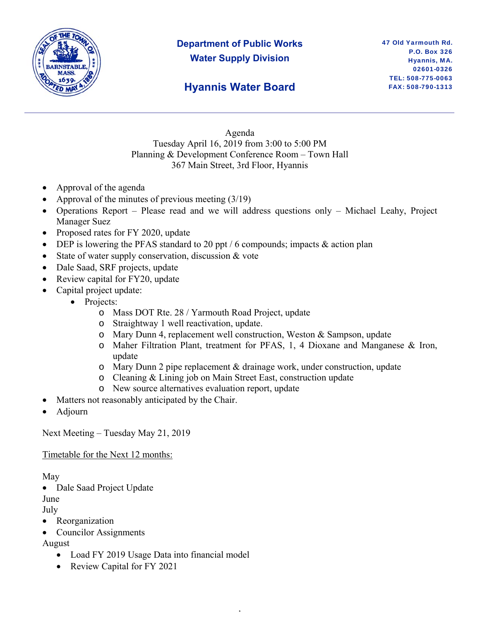

# **Department of Public Works Water Supply Division**

### **Hyannis Water Board**

Agenda Tuesday April 16, 2019 from 3:00 to 5:00 PM Planning & Development Conference Room – Town Hall 367 Main Street, 3rd Floor, Hyannis

- Approval of the agenda
- Approval of the minutes of previous meeting (3/19)
- Operations Report Please read and we will address questions only Michael Leahy, Project Manager Suez
- Proposed rates for FY 2020, update
- DEP is lowering the PFAS standard to 20 ppt  $/6$  compounds; impacts  $\&$  action plan
- State of water supply conservation, discussion & vote
- Dale Saad, SRF projects, update
- Review capital for FY20, update
- Capital project update:
	- Projects:
		- o Mass DOT Rte. 28 / Yarmouth Road Project, update
		- o Straightway 1 well reactivation, update.
		- o Mary Dunn 4, replacement well construction, Weston & Sampson, update
		- o Maher Filtration Plant, treatment for PFAS, 1, 4 Dioxane and Manganese & Iron, update
		- o Mary Dunn 2 pipe replacement & drainage work, under construction, update

,

- o Cleaning & Lining job on Main Street East, construction update
- o New source alternatives evaluation report, update
- Matters not reasonably anticipated by the Chair.
- Adjourn

Next Meeting – Tuesday May 21, 2019

Timetable for the Next 12 months:

May

• Dale Saad Project Update

June

- July
- Reorganization
- Councilor Assignments

August

- Load FY 2019 Usage Data into financial model
- Review Capital for FY 2021